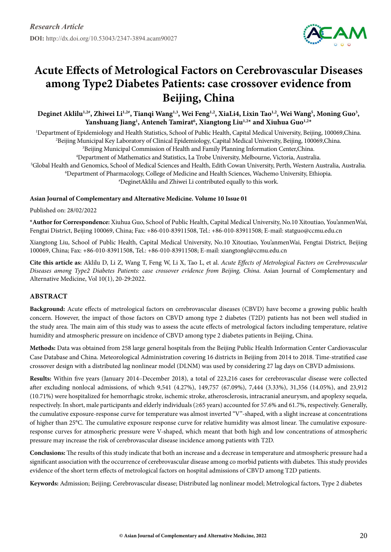

# **Acute Effects of Metrological Factors on Cerebrovascular Diseases among Type2 Diabetes Patients: case crossover evidence from Beijing, China**

Deginet Aklilu<sup>1,2#</sup>, Zhiwei Li<sup>1,2#</sup>, Tianqi Wang<sup>1,3</sup>, Wei Feng<sup>1,2</sup>, XiaLi4, Lixin Tao<sup>1,2</sup>, Wei Wang<sup>5</sup>, Moning Guo<sup>3</sup>, **Yanshuang Jiang1 , Anteneh Tamirat6 , Xiangtong Liu1,2\* and Xiuhua Guo1,2\***

 Department of Epidemiology and Health Statistics, School of Public Health, Capital Medical University, Beijing, 100069,China. Beijing Municipal Key Laboratory of Clinical Epidemiology, Capital Medical University, Beijing, 100069,China. Beijing Municipal Commission of Health and Family Planning Information Center,China. Department of Mathematics and Statistics, La Trobe University, Melbourne, Victoria, Australia. Global Health and Genomics, School of Medical Sciences and Health, Edith Cowan University, Perth, Western Australia, Australia. Department of Pharmacology, College of Medicine and Health Sciences, Wachemo University, Ethiopia. # DeginetAklilu and Zhiwei Li contributed equally to this work.

## **Asian Journal of Complementary and Alternative Medicine. Volume 10 Issue 01**

Published on: 28/02/2022

**\*Author for Correspondence:** Xiuhua Guo, School of Public Health, Capital Medical University, No.10 Xitoutiao, You'anmenWai, Fengtai District, Beijing 100069, China; Fax: +86-010-83911508, Tel.: +86-010-83911508; E-mail: statguo@ccmu.edu.cn

Xiangtong Liu, School of Public Health, Capital Medical University, No.10 Xitoutiao, You'anmenWai, Fengtai District, Beijing 100069, China; Fax: +86-010-83911508, Tel.: +86-010-83911508; E-mail: xiangtongl@ccmu.edu.cn

**Cite this article as:** Aklilu D, Li Z, Wang T, Feng W, Li X, Tao L, et al. *Acute Effects of Metrological Factors on Cerebrovascular Diseases among Type2 Diabetes Patients: case crossover evidence from Beijing, China*. Asian Journal of Complementary and Alternative Medicine, Vol 10(1), 20-29:2022.

# **Abstract**

**Background:** Acute effects of metrological factors on cerebrovascular diseases (CBVD) have become a growing public health concern. However, the impact of those factors on CBVD among type 2 diabetes (T2D) patients has not been well studied in the study area. The main aim of this study was to assess the acute effects of metrological factors including temperature, relative humidity and atmospheric pressure on incidence of CBVD among type 2 diabetes patients in Beijing, China.

**Methods:** Data was obtained from 258 large general hospitals from the Beijing Public Health Information Center Cardiovascular Case Database and China. Meteorological Administration covering 16 districts in Beijing from 2014 to 2018. Time-stratified case crossover design with a distributed lag nonlinear model (DLNM) was used by considering 27 lag days on CBVD admissions.

**Results:** Within five years (January 2014–December 2018), a total of 223,216 cases for cerebrovascular disease were collected after excluding nonlocal admissions, of which 9,541 (4.27%), 149,757 (67.09%), 7,444 (3.33%), 31,356 (14.05%), and 23,912 (10.71%) were hospitalized for hemorrhagic stroke, ischemic stroke, atherosclerosis, intracranial aneurysm, and apoplexy sequela, respectively. In short, male participants and elderly individuals (≥65 years) accounted for 57.6% and 61.7%, respectively. Generally, the cumulative exposure-response curve for temperature was almost inverted "V"-shaped, with a slight increase at concentrations of higher than 25°C. The cumulative exposure response curve for relative humidity was almost linear. The cumulative exposureresponse curves for atmospheric pressure were V-shaped, which meant that both high and low concentrations of atmospheric pressure may increase the risk of cerebrovascular disease incidence among patients with T2D.

**Conclusions:** The results of this study indicate that both an increase and a decrease in temperature and atmospheric pressure had a significant association with the occurrence of cerebrovascular disease among co morbid patients with diabetes. This study provides evidence of the short term effects of metrological factors on hospital admissions of CBVD among T2D patients.

**Keywords:** Admission; Beijing; Cerebrovascular disease; Distributed lag nonlinear model; Metrological factors, Type 2 diabetes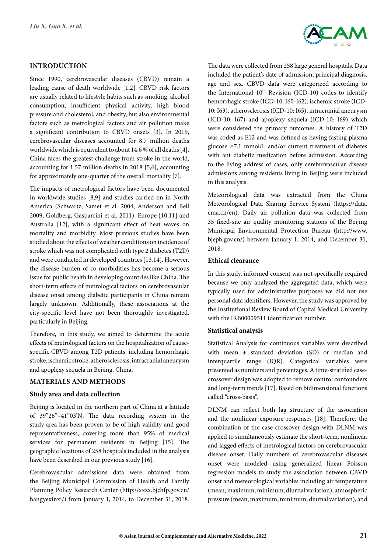## **Introduction**

Since 1990, cerebrovascular diseases (CBVD) remain a leading cause of death worldwide [1,2]. CBVD risk factors are usually related to lifestyle habits such as smoking, alcohol consumption, insufficient physical activity, high blood pressure and cholesterol, and obesity, but also environmental factors such as metrological factors and air pollution make a significant contribution to CBVD onsets [3]. In 2019, cerebrovascular diseases accounted for 8.7 million deaths worldwide which is equivalent to about 14.6 % of all deaths [4]. China faces the greatest challenge from stroke in the world, accounting for 1.57 million deaths in 2018 [5,6], accounting for approximately one-quarter of the overall mortality [7].

The impacts of metrological factors have been documented in worldwide studies [8,9] and studies carried on in North America (Schwartz, Samet et al. 2004, Anderson and Bell 2009, Goldberg, Gasparrini et al. 2011), Europe [10,11] and Australia [12], with a significant effect of heat waves on mortality and morbidity. Most previous studies have been studied about the effects of weather conditions on incidence of stroke which was not complicated with type 2 diabetes (T2D) and were conducted in developed countries [13,14]. However, the disease burden of co morbidities has become a serious issue for public health in developing countries like China. The short-term effects of metrological factors on cerebrovascular disease onset among diabetic participants in China remain largely unknown. Additionally, these associations at the city-specific level have not been thoroughly investigated, particularly in Beijing.

Therefore, in this study, we aimed to determine the acute effects of metrological factors on the hospitalization of causespecific CBVD among T2D patients, including hemorrhagic stroke, ischemic stroke, atherosclerosis, intracranial aneurysm and apoplexy sequela in Beijing, China.

# **Materials and Methods**

## **Study area and data collection**

Beijing is located in the northern part of China at a latitude of 39"26"–41"03'N. The data recording system in the study area has been proven to be of high validity and good representativeness, covering more than 95% of medical services for permanent residents in Beijing [15]. The geographic locations of 258 hospitals included in the analysis have been described in our previous study [16].

Cerebrovascular admissions data were obtained from the Beijing Municipal Commission of Health and Family Planning Policy Research Center (http://xxzx.bjchfp.gov.cn/ hangyexinxi/) from January 1, 2014, to December 31, 2018.



The data were collected from 258 large general hospitals. Data included the patient's date of admission, principal diagnosis, age and sex. CBVD data were categorized according to the International 10<sup>th</sup> Revision (ICD-10) codes to identify hemorrhagic stroke (ICD-10: I60-I62), ischemic stroke (ICD-10: I63), atherosclerosis (ICD-10: I65), intracranial aneurysm (ICD-10: I67) and apoplexy sequela (ICD-10: I69) which were considered the primary outcomes. A history of T2D was coded as E12 and was defined as having fasting plasma glucose ≥7.1 mmol/L and/or current treatment of diabetes with ant diabetic medication before admission. According to the living address of cases, only cerebrovascular disease admissions among residents living in Beijing were included in this analysis.

Meteorological data was extracted from the China Meteorological Data Sharing Service System (https://data. cma.cn/en). Daily air pollution data was collected from 35 fixed-site air quality monitoring stations of the Beijing Municipal Environmental Protection Bureau (http://www. bjepb.gov.cn/) between January 1, 2014, and December 31, 2018.

## **Ethical clearance**

In this study, informed consent was not specifically required because we only analyzed the aggregated data, which were typically used for administrative purposes we did not use personal data identifiers. However, the study was approved by the Institutional Review Board of Capital Medical University with the IRB00009511 identification number.

#### **Statistical analysis**

Statistical Analysis for continuous variables were described with mean ± standard deviation (SD) or median and interquartile range (IQR). Categorical variables were presented as numbers and percentages. A time-stratified casecrossover design was adopted to remove control confounders and long-term trends [17]. Based on bidimensional functions called "cross-basis",

DLNM can reflect both lag structure of the association and the nonlinear exposure responses [18]. Therefore, the combination of the case-crossover design with DLNM was applied to simultaneously estimate the short-term, nonlinear, and lagged effects of metrological factors on cerebrovascular disease onset. Daily numbers of cerebrovascular diseases onset were modeled using generalized linear Poisson regression models to study the association between CBVD onset and meteorological variables including air temperature (mean, maximum, minimum, diurnal variation), atmospheric pressure (mean, maximum, minimum, diurnal variation), and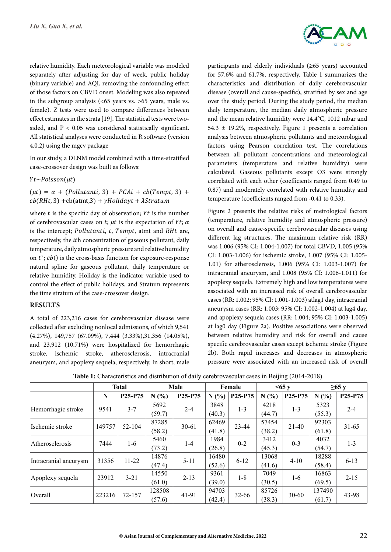relative humidity. Each meteorological variable was modeled separately after adjusting for day of week, public holiday (binary variable) and AQI, removing the confounding effect of those factors on CBVD onset. Modeling was also repeated in the subgroup analysis  $\left( \langle 65 \rangle$  vears vs.  $> 65$  years, male vs. female). Z tests were used to compare differences between effect estimates in the strata [19]. The statistical tests were twosided, and  $P < 0.05$  was considered statistically significant. All statistical analyses were conducted in R software (version 4.0.2) using the mgcv package

In our study, a DLNM model combined with a time-stratified case-crossover design was built as follows:

 $Yt \sim Poisson(\mu t)$ 

 $(\mu t) = \alpha + (Pollutanti, 3) + PCAi + cb(Tempt, 3) +$  $cb(RHt, 3) + cb(atmt,3) + \gamma Holidayt + \lambda Stratum$ 

where  $t$  is the specific day of observation;  $Yt$  is the number of cerebrovascular cases on t;  $\mu t$  is the expectation of Yt;  $\alpha$ is the intercept; Pollutanti, t, Tempt, atmt and RHt are, respectively, the *ith* concentration of gaseous pollutant, daily temperature, daily atmospheric pressure and relative humidity on  $t$ ;  $cb$ () is the cross-basis function for exposure-response natural spline for gaseous pollutant, daily temperature or relative humidity. Holiday is the indicator variable used to control the effect of public holidays, and Stratum represents the time stratum of the case-crossover design.

#### **Results**

A total of 223,216 cases for cerebrovascular disease were collected after excluding nonlocal admissions, of which 9,541 (4.27%), 149,757 (67.09%), 7,444 (3.33%),31,356 (14.05%), and 23,912 (10.71%) were hospitalized for hemorrhagic stroke, ischemic stroke, atherosclerosis, intracranial aneurysm, and apoplexy sequela, respectively. In short, male



participants and elderly individuals (≥65 years) accounted for 57.6% and 61.7%, respectively. Table 1 summarizes the characteristics and distribution of daily cerebrovascular disease (overall and cause-specific), stratified by sex and age over the study period. During the study period, the median daily temperature, the median daily atmospheric pressure and the mean relative humidity were 14.4°C, 1012 mbar and 54.3 ± 19.2%, respectively. Figure 1 presents a correlation analysis between atmospheric pollutants and meteorological factors using Pearson correlation test. The correlations between all pollutant concentrations and meteorological parameters (temperature and relative humidity) were calculated. Gaseous pollutants except O3 were strongly correlated with each other (coefficients ranged from 0.49 to 0.87) and moderately correlated with relative humidity and temperature (coefficients ranged from -0.41 to 0.33).

Figure 2 presents the relative risks of metrological factors (temperature, relative humidity and atmospheric pressure) on overall and cause-specific cerebrovascular diseases using different lag structures. The maximum relative risk (RR) was 1.006 (95% CI: 1.004-1.007) for total CBVD, 1.005 (95% CI: 1.003-1.006) for ischemic stroke, 1.007 (95% CI: 1.005- 1.01) for atherosclerosis, 1.006 (95% CI: 1.003-1.007) for intracranial aneurysm, and 1.008 (95% CI: 1.006-1.011) for apoplexy sequela. Extremely high and low temperatures were associated with an increased risk of overall cerebrovascular cases (RR: 1.002; 95% CI: 1.001-1.003) atlag1 day, intracranial aneurysm cases (RR: 1.003; 95% CI: 1.002-1.004) at lag4 day, and apoplexy sequela cases (RR: 1.004; 95% CI: 1.003-1.005) at lag0 day (Figure 2a). Positive associations were observed between relative humidity and risk for overall and cause specific cerebrovascular cases except ischemic stroke (Figure 2b). Both rapid increases and decreases in atmospheric pressure were associated with an increased risk of overall

|                       | <b>Total</b> |                                  | Male   |                                  | Female |           | <65y   |                                  | $\geq 65$ y |                                  |
|-----------------------|--------------|----------------------------------|--------|----------------------------------|--------|-----------|--------|----------------------------------|-------------|----------------------------------|
|                       | N            | P <sub>25</sub> -P <sub>75</sub> | N(%)   | P <sub>25</sub> -P <sub>75</sub> | N(%)   | P25-P75   | N(%    | P <sub>25</sub> -P <sub>75</sub> | N(%)        | P <sub>25</sub> -P <sub>75</sub> |
| Hemorrhagic stroke    | 9541         | $3 - 7$                          | 5692   | $2 - 4$                          | 3848   | $1 - 3$   | 4218   | $1 - 3$                          | 5323        | $2 - 4$                          |
|                       |              |                                  | (59.7) |                                  | (40.3) |           | (44.7) |                                  | (55.3)      |                                  |
| Ischemic stroke       | 149757       | 52-104                           | 87285  | $30 - 61$                        | 62469  | 23-44     | 57454  | $21-40$                          | 92303       | $31 - 65$                        |
|                       |              |                                  | (58.2) |                                  | (41.8) |           | (38.2) |                                  | (61.8)      |                                  |
| Atherosclerosis       | 7444         | $1-6$                            | 5460   | $1-4$                            | 1984   | $0 - 2$   | 3412   | $0 - 3$                          | 4032        | $1 - 3$                          |
|                       |              |                                  | (73.2) |                                  | (26.8) |           | (45.3) |                                  | (54.7)      |                                  |
| Intracranial aneurysm | 31356        | $11 - 22$                        | 14876  | $5 - 11$                         | 16480  | $6 - 12$  | 13068  | $4 - 10$                         | 18288       | $6 - 13$                         |
|                       |              |                                  | (47.4) |                                  | (52.6) |           | (41.6) |                                  | (58.4)      |                                  |
| Apoplexy sequela      | 23912        | $3 - 21$                         | 14550  | $2 - 13$                         | 9361   | $1 - 8$   | 7049   | 1-6                              | 16863       | $2 - 15$                         |
|                       |              |                                  | (61.0) |                                  | (39.0) |           | (30.5) |                                  | (69.5)      |                                  |
| <i><b>Overall</b></i> | 223216       | 72-157                           | 128508 | 41-91                            | 94703  | $32 - 66$ | 85726  | $30 - 60$                        | 137490      | 43-98                            |
|                       |              |                                  | (57.6) |                                  | (42.4) |           | (38.3) |                                  | (61.7)      |                                  |

**Table 1:** Characteristics and distribution of daily cerebrovascular cases in Beijing (2014-2018).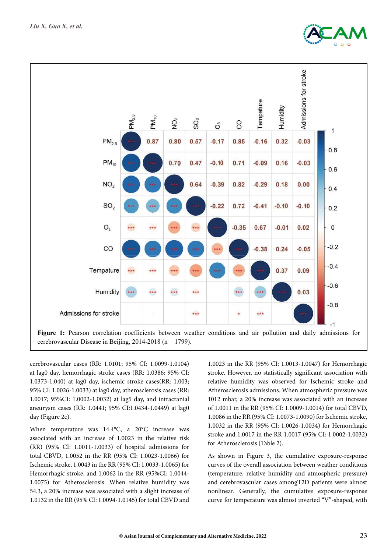



cerebrovascular cases (RR: 1.0101; 95% CI: 1.0099-1.0104) at lag0 day, hemorrhagic stroke cases (RR: 1.0386; 95% CI: 1.0373-1.040) at lag0 day, ischemic stroke cases(RR: 1.003; 95% CI: 1.0026-1.0033) at lag0 day, atherosclerosis cases (RR: 1.0017; 95%CI: 1.0002-1.0032) at lag5 day, and intracranial aneurysm cases (RR: 1.0441; 95% CI:1.0434-1.0449) at lag0 day (Figure 2c).

When temperature was 14.4°C, a 20°C increase was associated with an increase of 1.0023 in the relative risk (RR) (95% CI: 1.0011-1.0033) of hospital admissions for total CBVD, 1.0052 in the RR (95% CI: 1.0023-1.0066) for Ischemic stroke, 1.0043 in the RR (95% CI: 1.0033-1.0065) for Hemorrhagic stroke, and 1.0062 in the RR (95%CI: 1.0044- 1.0075) for Atherosclerosis. When relative humidity was 54.3, a 20% increase was associated with a slight increase of 1.0132 in the RR (95% CI: 1.0094-1.0145) for total CBVD and

1.0023 in the RR (95% CI: 1.0013-1.0047) for Hemorrhagic stroke. However, no statistically significant association with relative humidity was observed for Ischemic stroke and Atherosclerosis admissions. When atmospheric pressure was 1012 mbar, a 20% increase was associated with an increase of 1.0011 in the RR (95% CI: 1.0009-1.0014) for total CBVD, 1.0086 in the RR (95% CI: 1.0073-1.0090) for Ischemic stroke, 1.0032 in the RR (95% CI: 1.0026-1.0034) for Hemorrhagic stroke and 1.0017 in the RR 1.0017 (95% CI: 1.0002-1.0032) for Atherosclerosis (Table 2).

As shown in Figure 3, the cumulative exposure-response curves of the overall association between weather conditions (temperature, relative humidity and atmospheric pressure) and cerebrovascular cases amongT2D patients were almost nonlinear. Generally, the cumulative exposure-response curve for temperature was almost inverted "V"-shaped, with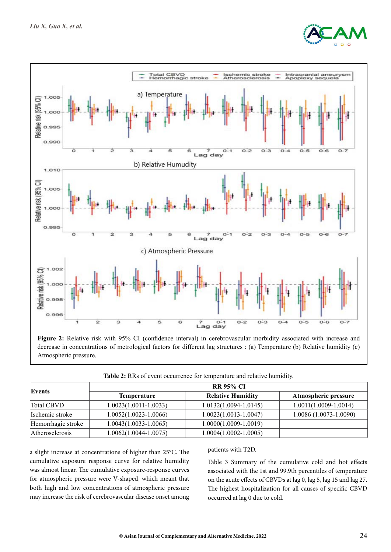



**Figure 2:** Relative risk with 95% CI (confidence interval) in cerebrovascular morbidity associated with increase and decrease in concentrations of metrological factors for different lag structures : (a) Temperature (b) Relative humidity (c) Atmospheric pressure.

**Table 2:** RRs of event occurrence for temperature and relative humidity.

| Events             | <b>RR 95% CI</b>          |                           |                           |  |  |  |  |
|--------------------|---------------------------|---------------------------|---------------------------|--|--|--|--|
|                    | <b>Temperature</b>        | <b>Relative Humidity</b>  | Atmospheric pressure      |  |  |  |  |
| Total CBVD         | $1.0023(1.0011 - 1.0033)$ | $1.0132(1.0094 - 1.0145)$ | $1.0011(1.0009 - 1.0014)$ |  |  |  |  |
| Ischemic stroke    | $1.0052(1.0023 - 1.0066)$ | $1.0023(1.0013 - 1.0047)$ | 1.0086 (1.0073-1.0090)    |  |  |  |  |
| Hemorrhagic stroke | $1.0043(1.0033 - 1.0065)$ | $1.0000(1.0009 - 1.0019)$ |                           |  |  |  |  |
| Atherosclerosis    | 1.0062(1.0044-1.0075)     | $1.0004(1.0002 - 1.0005)$ |                           |  |  |  |  |

a slight increase at concentrations of higher than 25°C. The cumulative exposure response curve for relative humidity was almost linear. The cumulative exposure-response curves for atmospheric pressure were V-shaped, which meant that both high and low concentrations of atmospheric pressure may increase the risk of cerebrovascular disease onset among

#### patients with T2D.

Table 3 Summary of the cumulative cold and hot effects associated with the 1st and 99.9th percentiles of temperature on the acute effects of CBVDs at lag 0, lag 5, lag 15 and lag 27. The highest hospitalization for all causes of specific CBVD occurred at lag 0 due to cold.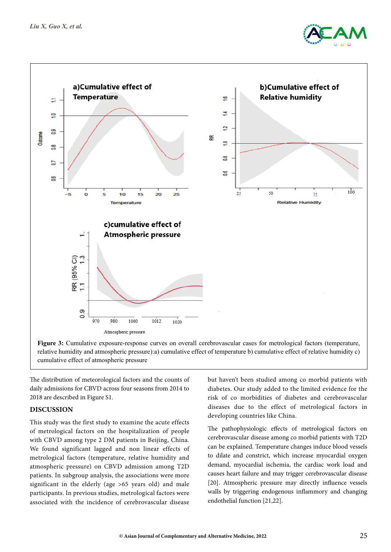



relative humidity and atmospheric pressure):a) cumulative effect of temperature b) cumulative effect of relative humidity c) cumulative effect of atmospheric pressure

The distribution of meteorological factors and the counts of daily admissions for CBVD across four seasons from 2014 to 2018 are described in Figure S1.

## **Discussion**

This study was the first study to examine the acute effects of metrological factors on the hospitalization of people with CBVD among type 2 DM patients in Beijing, China. We found significant lagged and non linear effects of metrological factors (temperature, relative humidity and atmospheric pressure) on CBVD admission among T2D patients. In subgroup analysis, the associations were more significant in the elderly (age >65 years old) and male participants. In previous studies, metrological factors were associated with the incidence of cerebrovascular disease

but haven't been studied among co morbid patients with diabetes. Our study added to the limited evidence for the risk of co morbidities of diabetes and cerebrovascular diseases due to the effect of metrological factors in developing countries like China.

The pathophysiologic effects of metrological factors on cerebrovascular disease among co morbid patients with T2D can be explained. Temperature changes induce blood vessels to dilate and constrict, which increase myocardial oxygen demand, myocardial ischemia, the cardiac work load and causes heart failure and may trigger cerebrovascular disease [20]. Atmospheric pressure may directly influence vessels walls by triggering endogenous inflammory and changing endothelial function [21,22].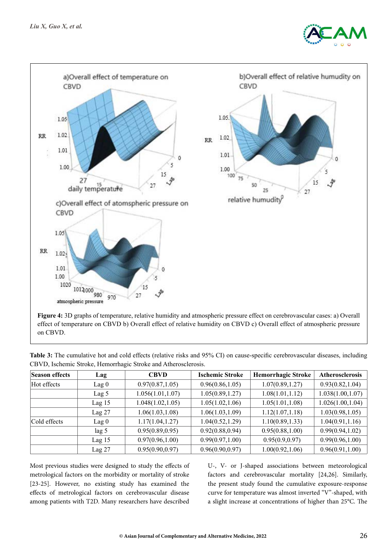



effect of temperature on CBVD b) Overall effect of relative humidity on CBVD c) Overall effect of atmospheric pressure on CBVD.

| Season effects | Lag      | <b>CBVD</b>       | <b>Ischemic Stroke</b> | <b>Hemorrhagic Stroke</b> | <b>Atherosclerosis</b> |
|----------------|----------|-------------------|------------------------|---------------------------|------------------------|
| Hot effects    | Lag 0    | 0.97(0.87, 1.05)  | 0.96(0.86, 1.05)       | 1.07(0.89, 1.27)          | 0.93(0.82, 1.04)       |
|                | Lag 5    | 1.056(1.01, 1.07) | 1.05(0.89, 1.27)       | 1.08(1.01, 1.12)          | 1.038(1.00, 1.07)      |
|                | $Lag$ 15 | 1.048(1.02, 1.05) | 1.05(1.02, 1.06)       | 1.05(1.01, 1.08)          | 1.026(1.00, 1.04)      |
|                | $Lag$ 27 | 1.06(1.03, 1.08)  | 1.06(1.03, 1.09)       | 1.12(1.07, 1.18)          | 1.03(0.98, 1.05)       |
| Cold effects   | $Lag$ 0  | 1.17(1.04, 1.27)  | 1.04(0.52, 1.29)       | 1.10(0.89, 1.33)          | 1.04(0.91, 1.16)       |
|                | lag 5    | 0.95(0.89, 0.95)  | 0.92(0.88, 0.94)       | 0.95(0.88, 1.00)          | 0.99(0.94, 1.02)       |
|                | $Lag$ 15 | 0.97(0.96, 1.00)  | 0.99(0.97, 1.00)       | 0.95(0.9, 0.97)           | 0.99(0.96, 1.00)       |
|                | $Lag$ 27 | 0.95(0.90, 0.97)  | 0.96(0.90, 0.97)       | 1.00(0.92, 1.06)          | 0.96(0.91, 1.00)       |

**Table 3:** The cumulative hot and cold effects (relative risks and 95% CI) on cause-specific cerebrovascular diseases, including CBVD, Ischemic Stroke, Hemorrhagic Stroke and Atherosclerosis.

Most previous studies were designed to study the effects of metrological factors on the morbidity or mortality of stroke [23-25]. However, no existing study has examined the effects of metrological factors on cerebrovascular disease among patients with T2D. Many researchers have described U-, V- or J-shaped associations between meteorological factors and cerebrovascular mortality [24,26]. Similarly, the present study found the cumulative exposure-response curve for temperature was almost inverted "V"-shaped, with a slight increase at concentrations of higher than 25°C. The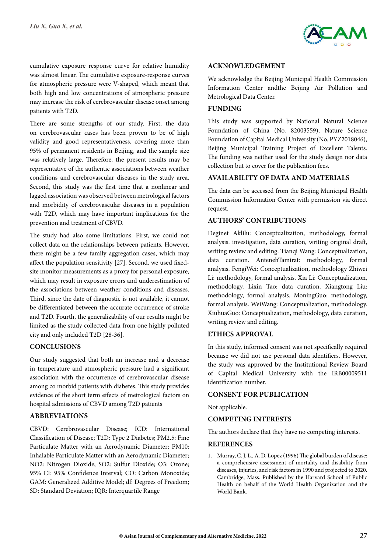

cumulative exposure response curve for relative humidity was almost linear. The cumulative exposure-response curves for atmospheric pressure were V-shaped, which meant that both high and low concentrations of atmospheric pressure may increase the risk of cerebrovascular disease onset among patients with T2D.

There are some strengths of our study. First, the data on cerebrovascular cases has been proven to be of high validity and good representativeness, covering more than 95% of permanent residents in Beijing, and the sample size was relatively large. Therefore, the present results may be representative of the authentic associations between weather conditions and cerebrovascular diseases in the study area. Second, this study was the first time that a nonlinear and lagged association was observed between metrological factors and morbidity of cerebrovascular diseases in a population with T2D, which may have important implications for the prevention and treatment of CBVD.

The study had also some limitations. First, we could not collect data on the relationships between patients. However, there might be a few family aggregation cases, which may affect the population sensitivity [27]. Second, we used fixedsite monitor measurements as a proxy for personal exposure, which may result in exposure errors and underestimation of the associations between weather conditions and diseases. Third, since the date of diagnostic is not available, it cannot be differentiated between the accurate occurrence of stroke and T2D. Fourth, the generalizability of our results might be limited as the study collected data from one highly polluted city and only included T2D [28-36].

## **Conclusions**

Our study suggested that both an increase and a decrease in temperature and atmospheric pressure had a significant association with the occurrence of cerebrovascular disease among co morbid patients with diabetes. This study provides evidence of the short term effects of metrological factors on hospital admissions of CBVD among T2D patients

## **Abbreviations**

CBVD: Cerebrovascular Disease; ICD: International Classification of Disease; T2D: Type 2 Diabetes; PM2.5: Fine Particulate Matter with an Aerodynamic Diameter; PM10: Inhalable Particulate Matter with an Aerodynamic Diameter; NO2: Nitrogen Dioxide; SO2: Sulfur Dioxide; O3: Ozone; 95% CI: 95% Confidence Interval; CO: Carbon Monoxide; GAM: Generalized Additive Model; df: Degrees of Freedom; SD: Standard Deviation; IQR: Interquartile Range

#### **Acknowledgement**

We acknowledge the Beijing Municipal Health Commission Information Center andthe Beijing Air Pollution and Metrological Data Center.

# **Funding**

This study was supported by National Natural Science Foundation of China (No. 82003559), Nature Science Foundation of Capital Medical University (No. PYZ2018046), Beijing Municipal Training Project of Excellent Talents. The funding was neither used for the study design nor data collection but to cover for the publication fees.

# **Availability of Data and Materials**

The data can be accessed from the Beijing Municipal Health Commission Information Center with permission via direct request.

# **Authors' Contributions**

Deginet Aklilu: Conceptualization, methodology, formal analysis. investigation, data curation, writing original draft, writing review and editing. Tianqi Wang: Conceptualization, data curation. AntenehTamirat: methodology, formal analysis. FengiWei: Conceptualization, methodology Zhiwei Li: methodology, formal analysis. Xia Li: Conceptualization, methodology. Lixin Tao: data curation. Xiangtong Liu: methodology, formal analysis. MoningGuo: methodology, formal analysis. WeiWang: Conceptualization, methodology. XiuhuaGuo: Conceptualization, methodology, data curation, writing review and editing.

# **Ethics Approval**

In this study, informed consent was not specifically required because we did not use personal data identifiers. However, the study was approved by the Institutional Review Board of Capital Medical University with the IRB00009511 identification number.

## **Consent for Publication**

Not applicable.

#### **Competing Interests**

The authors declare that they have no competing interests.

#### **References**

1. Murray, C. J. L., A. D. Lopez (1996) The global burden of disease: a comprehensive assessment of mortality and disability from diseases, injuries, and risk factors in 1990 and projected to 2020. Cambridge, Mass. Published by the Harvard School of Public Health on behalf of the World Health Organization and the World Bank.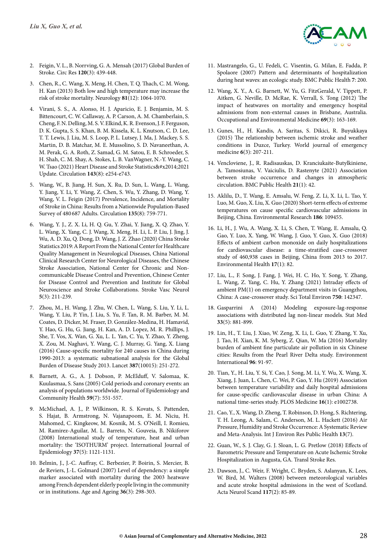

- 2. Feigin, V. L., B. Norrving, G. A. Mensah (2017) Global Burden of Stroke. Circ Res **120**(3): 439-448.
- 3. Chen, R., C. Wang, X. Meng, H. Chen, T. Q. Thach, C. M. Wong, H. Kan (2013) Both low and high temperature may increase the risk of stroke mortality. Neurology **81**(12): 1064-1070.
- 4. Virani, S. S., A. Alonso, H. J. Aparicio, E. J. Benjamin, M. S. Bittencourt, C. W. Callaway, A. P. Carson, A. M. Chamberlain, S. Cheng, F. N. Delling, M. S. V. Elkind, K. R. Evenson, J. F. Ferguson, D. K. Gupta, S. S. Khan, B. M. Kissela, K. L. Knutson, C. D. Lee, T. T. Lewis, J. Liu, M. S. Loop, P. L. Lutsey, J. Ma, J. Mackey, S. S. Martin, D. B. Matchar, M. E. Mussolino, S. D. Navaneethan, A. M. Perak, G. A. Roth, Z. Samad, G. M. Satou, E. B. Schroeder, S. H. Shah, C. M. Shay, A. Stokes, L. B. VanWagner, N.-Y. Wang, C. W. Tsao (2021) Heart Disease and Stroke Statistics—2021 Update. Circulation **143**(8): e254-e743.
- 5. Wang, W., B. Jiang, H. Sun, X. Ru, D. Sun, L. Wang, L. Wang, Y. Jiang, Y. Li, Y. Wang, Z. Chen, S. Wu, Y. Zhang, D. Wang, Y. Wang, V. L. Feigin (2017) Prevalence, Incidence, and Mortality of Stroke in China: Results from a Nationwide Population-Based Survey of 480 687 Adults. Circulation **135**(8): 759-771.
- 6. Wang, Y. J., Z. X. Li, H. Q. Gu, Y. Zhai, Y. Jiang, X. Q. Zhao, Y. L. Wang, X. Yang, C. J. Wang, X. Meng, H. Li, L. P. Liu, J. Jing, J. Wu, A. D. Xu, Q. Dong, D. Wang, J. Z. Zhao (2020) China Stroke Statistics 2019: A Report From the National Center for Healthcare Quality Management in Neurological Diseases, China National Clinical Research Center for Neurological Diseases, the Chinese Stroke Association, National Center for Chronic and Noncommunicable Disease Control and Prevention, Chinese Center for Disease Control and Prevention and Institute for Global Neuroscience and Stroke Collaborations. Stroke Vasc Neurol **5**(3): 211-239.
- 7. Zhou, M., H. Wang, J. Zhu, W. Chen, L. Wang, S. Liu, Y. Li, L. Wang, Y. Liu, P. Yin, J. Liu, S. Yu, F. Tan, R. M. Barber, M. M. Coates, D. Dicker, M. Fraser, D. González-Medina, H. Hamavid, Y. Hao, G. Hu, G. Jiang, H. Kan, A. D. Lopez, M. R. Phillips, J. She, T. Vos, X. Wan, G. Xu, L. L. Yan, C. Yu, Y. Zhao, Y. Zheng, X. Zou, M. Naghavi, Y. Wang, C. J. Murray, G. Yang, X. Liang (2016) Cause-specific mortality for 240 causes in China during 1990-2013: a systematic subnational analysis for the Global Burden of Disease Study 2013. Lancet **387**(10015): 251-272.
- 8. Barnett, A. G., A. J. Dobson, P. McElduff, V. Salomaa, K. Kuulasmaa, S. Sans (2005) Cold periods and coronary events: an analysis of populations worldwide. Journal of Epidemiology and Community Health **59**(7): 551-557.
- 9. McMichael, A. J., P. Wilkinson, R. S. Kovats, S. Pattenden, S. Hajat, B. Armstrong, N. Vajanapoom, E. M. Niciu, H. Mahomed, C. Kingkeow, M. Kosnik, M. S. O'Neill, I. Romieu, M. Ramirez-Aguilar, M. L. Barreto, N. Gouveia, B. Nikiforov (2008) International study of temperature, heat and urban mortality: the 'ISOTHURM' project. International Journal of Epidemiology **37**(5): 1121-1131.
- 10. Belmin, J., J.-C. Auffray, C. Berbezier, P. Boirin, S. Mercier, B. de Reviers, J.-L. Golmard (2007) Level of dependency: a simple marker associated with mortality during the 2003 heatwave among French dependent elderly people living in the community or in institutions. Age and Ageing **36**(3): 298-303.
- 11. Mastrangelo, G., U. Fedeli, C. Visentin, G. Milan, E. Fadda, P. Spolaore (2007) Pattern and determinants of hospitalization during heat waves: an ecologic study. BMC Public Health **7**: 200.
- 12. Wang, X. Y., A. G. Barnett, W. Yu, G. FitzGerald, V. Tippett, P. Aitken, G. Neville, D. McRae, K. Verrall, S. Tong (2012) The impact of heatwaves on mortality and emergency hospital admissions from non-external causes in Brisbane, Australia. Occupational and Environmental Medicine **69**(3): 163-169.
- 13. Gunes, H., H. Kandis, A. Saritas, S. Dikici, R. Buyukkaya (2015) The relationship between ischemic stroke and weather conditions in Duzce, Turkey. World journal of emergency medicine **6**(3): 207-211.
- 14. Vencloviene, J., R. Radisauskas, D. Kranciukaite-Butylkiniene, A. Tamosiunas, V. Vaiciulis, D. Rastenyte (2021) Association between stroke occurrence and changes in atmospheric circulation. BMC Public Health **21**(1): 42.
- 15. Aklilu, D., T. Wang, E. Amsalu, W. Feng, Z. Li, X. Li, L. Tao, Y. Luo, M. Guo, X. Liu, X. Guo (2020) Short-term effects of extreme temperatures on cause specific cardiovascular admissions in Beijing, China. Environmental Research **186**: 109455.
- 16. Li, H., J. Wu, A. Wang, X. Li, S. Chen, T. Wang, E. Amsalu, Q. Gao, Y. Luo, X. Yang, W. Wang, J. Guo, Y. Guo, X. Guo (2018) Effects of ambient carbon monoxide on daily hospitalizations for cardiovascular disease: a time-stratified case-crossover study of 460,938 cases in Beijing, China from 2013 to 2017. Environmental Health **17**(1): 82.
- 17. Liu, L., F. Song, J. Fang, J. Wei, H. C. Ho, Y. Song, Y. Zhang, L. Wang, Z. Yang, C. Hu, Y. Zhang (2021) Intraday effects of ambient PM(1) on emergency department visits in Guangzhou, China: A case-crossover study. Sci Total Environ **750**: 142347.
- 18. Gasparrini A (2014) Modeling exposure-lag-response associations with distributed lag non-linear models. Stat Med **33**(5): 881-899.
- 19. Lin, H., T. Liu, J. Xiao, W. Zeng, X. Li, L. Guo, Y. Zhang, Y. Xu, J. Tao, H. Xian, K. M. Syberg, Z. Qian, W. Ma (2016) Mortality burden of ambient fine particulate air pollution in six Chinese cities: Results from the Pearl River Delta study. Environment International **96**: 91-97.
- 20. Tian, Y., H. Liu, Y. Si, Y. Cao, J. Song, M. Li, Y. Wu, X. Wang, X. Xiang, J. Juan, L. Chen, C. Wei, P. Gao, Y. Hu (2019) Association between temperature variability and daily hospital admissions for cause-specific cardiovascular disease in urban China: A national time-series study. PLOS Medicine **16**(1): e1002738.
- 21. Cao, Y., X. Wang, D. Zheng, T. Robinson, D. Hong, S. Richtering, T. H. Leong, A. Salam, C. Anderson, M. L. Hackett (2016) Air Pressure, Humidity and Stroke Occurrence: A Systematic Review and Meta-Analysis. Int J Environ Res Public Health **13**(7).
- 22. Guan, W., S. J. Clay, G. J. Sloan, L. G. Pretlow (2018) Effects of Barometric Pressure and Temperature on Acute Ischemic Stroke Hospitalization in Augusta, GA. Transl Stroke Res.
- 23. Dawson, J., C. Weir, F. Wright, C. Bryden, S. Aslanyan, K. Lees, W. Bird, M. Walters (2008) between meteorological variables and acute stroke hospital admissions in the west of Scotland. Acta Neurol Scand **117**(2): 85-89.